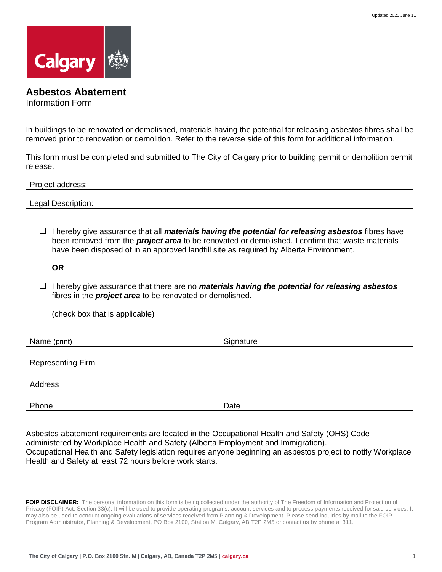

## **Asbestos Abatement**

Information Form

In buildings to be renovated or demolished, materials having the potential for releasing asbestos fibres shall be removed prior to renovation or demolition. Refer to the reverse side of this form for additional information.

This form must be completed and submitted to The City of Calgary prior to building permit or demolition permit release.

Project address:

Legal Description:

 I hereby give assurance that all *materials having the potential for releasing asbestos* fibres have been removed from the *project area* to be renovated or demolished. I confirm that waste materials have been disposed of in an approved landfill site as required by Alberta Environment.

**OR**

 I hereby give assurance that there are no *materials having the potential for releasing asbestos* fibres in the *project area* to be renovated or demolished.

(check box that is applicable)

Name (print) Signature

Representing Firm

Address

Phone **Date** Date **Date** Date **Date** 

Asbestos abatement requirements are located in the Occupational Health and Safety (OHS) Code administered by Workplace Health and Safety (Alberta Employment and Immigration). Occupational Health and Safety legislation requires anyone beginning an asbestos project to notify Workplace Health and Safety at least 72 hours before work starts.

FOIP DISCLAIMER: The personal information on this form is being collected under the authority of The Freedom of Information and Protection of Privacy (FOIP) Act, Section 33(c). It will be used to provide operating programs, account services and to process payments received for said services. It may also be used to conduct ongoing evaluations of services received from Planning & Development. Please send inquiries by mail to the FOIP Program Administrator, Planning & Development, PO Box 2100, Station M, Calgary, AB T2P 2M5 or contact us by phone at 311.